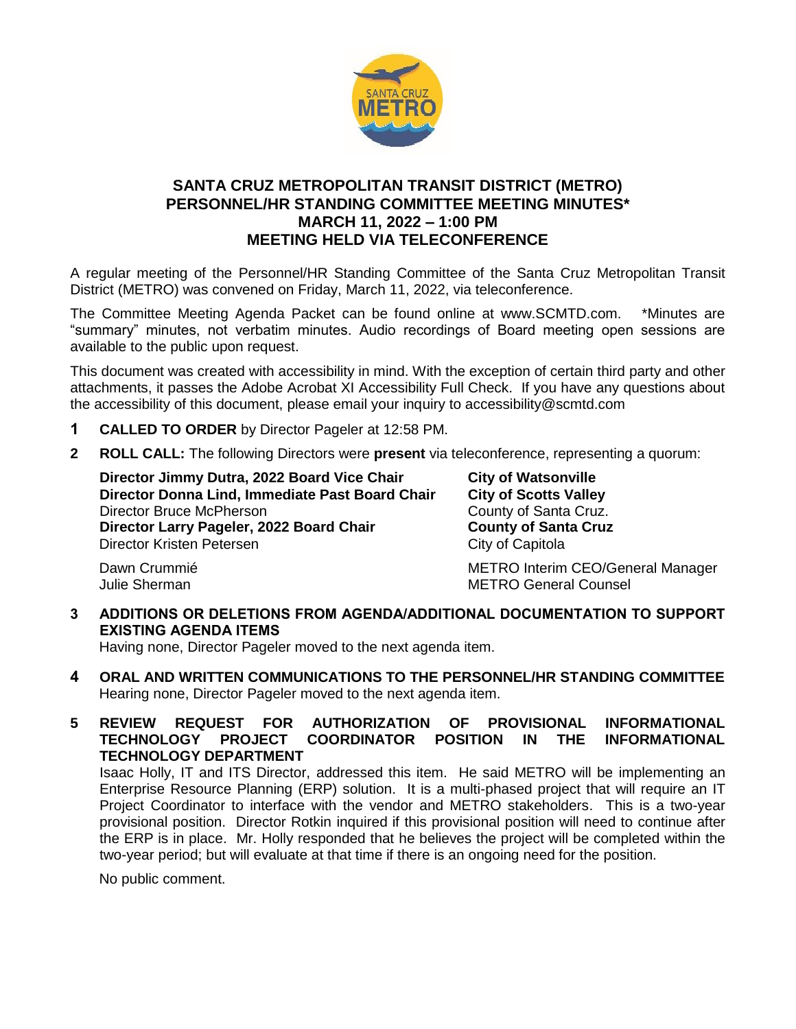

# **SANTA CRUZ METROPOLITAN TRANSIT DISTRICT (METRO) PERSONNEL/HR STANDING COMMITTEE MEETING MINUTES\* MARCH 11, 2022 – 1:00 PM MEETING HELD VIA TELECONFERENCE**

A regular meeting of the Personnel/HR Standing Committee of the Santa Cruz Metropolitan Transit District (METRO) was convened on Friday, March 11, 2022, via teleconference.

The Committee Meeting Agenda Packet can be found online at www.SCMTD.com. \*Minutes are "summary" minutes, not verbatim minutes. Audio recordings of Board meeting open sessions are available to the public upon request.

This document was created with accessibility in mind. With the exception of certain third party and other attachments, it passes the Adobe Acrobat XI Accessibility Full Check. If you have any questions about the accessibility of this document, please email your inquiry to accessibility@scmtd.com

- **1 CALLED TO ORDER** by Director Pageler at 12:58 PM.
- **2 ROLL CALL:** The following Directors were **present** via teleconference, representing a quorum:

**Director Jimmy Dutra, 2022 Board Vice Chair City of Watsonville Director Donna Lind, Immediate Past Board Chair City of Scotts Valley**  Director Bruce McPherson County of Santa Cruz. **Director Larry Pageler, 2022 Board Chair County of Santa Cruz**  Director Kristen Petersen City of Capitola

Dawn Crummié **METRO Interim CEO/General Manager** Julie Sherman METRO General Counsel

# **3 ADDITIONS OR DELETIONS FROM AGENDA/ADDITIONAL DOCUMENTATION TO SUPPORT EXISTING AGENDA ITEMS**

Having none, Director Pageler moved to the next agenda item.

**4 ORAL AND WRITTEN COMMUNICATIONS TO THE PERSONNEL/HR STANDING COMMITTEE**  Hearing none, Director Pageler moved to the next agenda item.

## **5 REVIEW REQUEST FOR AUTHORIZATION OF PROVISIONAL INFORMATIONAL TECHNOLOGY PROJECT COORDINATOR POSITION IN THE INFORMATIONAL TECHNOLOGY DEPARTMENT**

Isaac Holly, IT and ITS Director, addressed this item. He said METRO will be implementing an Enterprise Resource Planning (ERP) solution. It is a multi-phased project that will require an IT Project Coordinator to interface with the vendor and METRO stakeholders. This is a two-year provisional position. Director Rotkin inquired if this provisional position will need to continue after the ERP is in place. Mr. Holly responded that he believes the project will be completed within the two-year period; but will evaluate at that time if there is an ongoing need for the position.

No public comment.